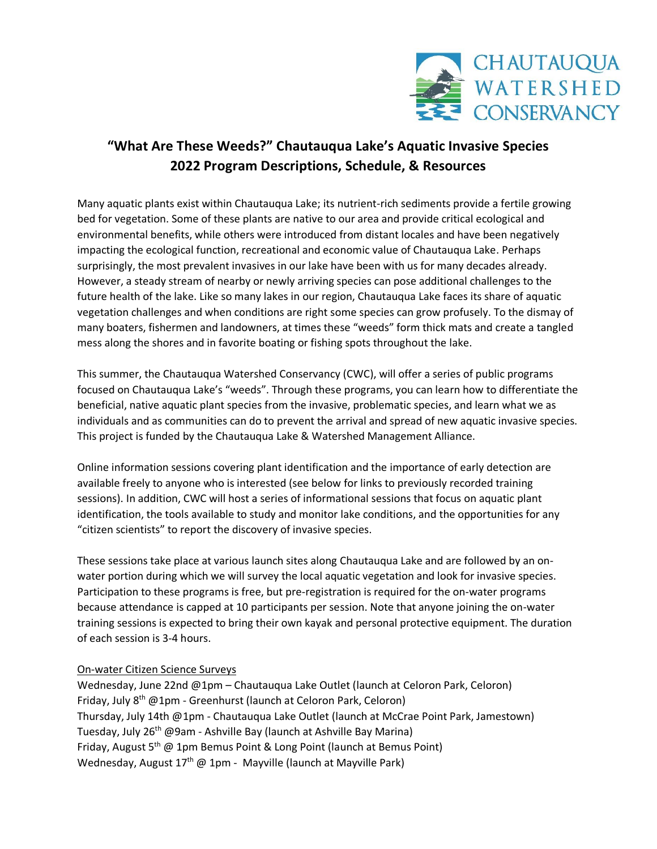

## **"What Are These Weeds?" Chautauqua Lake's Aquatic Invasive Species 2022 Program Descriptions, Schedule, & Resources**

Many aquatic plants exist within Chautauqua Lake; its nutrient-rich sediments provide a fertile growing bed for vegetation. Some of these plants are native to our area and provide critical ecological and environmental benefits, while others were introduced from distant locales and have been negatively impacting the ecological function, recreational and economic value of Chautauqua Lake. Perhaps surprisingly, the most prevalent invasives in our lake have been with us for many decades already. However, a steady stream of nearby or newly arriving species can pose additional challenges to the future health of the lake. Like so many lakes in our region, Chautauqua Lake faces its share of aquatic vegetation challenges and when conditions are right some species can grow profusely. To the dismay of many boaters, fishermen and landowners, at times these "weeds" form thick mats and create a tangled mess along the shores and in favorite boating or fishing spots throughout the lake.

This summer, the Chautauqua Watershed Conservancy (CWC), will offer a series of public programs focused on Chautauqua Lake's "weeds". Through these programs, you can learn how to differentiate the beneficial, native aquatic plant species from the invasive, problematic species, and learn what we as individuals and as communities can do to prevent the arrival and spread of new aquatic invasive species. This project is funded by the Chautauqua Lake & Watershed Management Alliance.

Online information sessions covering plant identification and the importance of early detection are available freely to anyone who is interested (see below for links to previously recorded training sessions). In addition, CWC will host a series of informational sessions that focus on aquatic plant identification, the tools available to study and monitor lake conditions, and the opportunities for any "citizen scientists" to report the discovery of invasive species.

These sessions take place at various launch sites along Chautauqua Lake and are followed by an onwater portion during which we will survey the local aquatic vegetation and look for invasive species. Participation to these programs is free, but pre-registration is required for the on-water programs because attendance is capped at 10 participants per session. Note that anyone joining the on-water training sessions is expected to bring their own kayak and personal protective equipment. The duration of each session is 3-4 hours.

## On-water Citizen Science Surveys

Wednesday, June 22nd @1pm – Chautauqua Lake Outlet (launch at Celoron Park, Celoron) Friday, July 8<sup>th</sup> @1pm - Greenhurst (launch at Celoron Park, Celoron) Thursday, July 14th @1pm - Chautauqua Lake Outlet (launch at McCrae Point Park, Jamestown) Tuesday, July 26<sup>th</sup> @9am - Ashville Bay (launch at Ashville Bay Marina) Friday, August 5<sup>th</sup> @ 1pm Bemus Point & Long Point (launch at Bemus Point) Wednesday, August  $17<sup>th</sup>$  @ 1pm - Mayville (launch at Mayville Park)